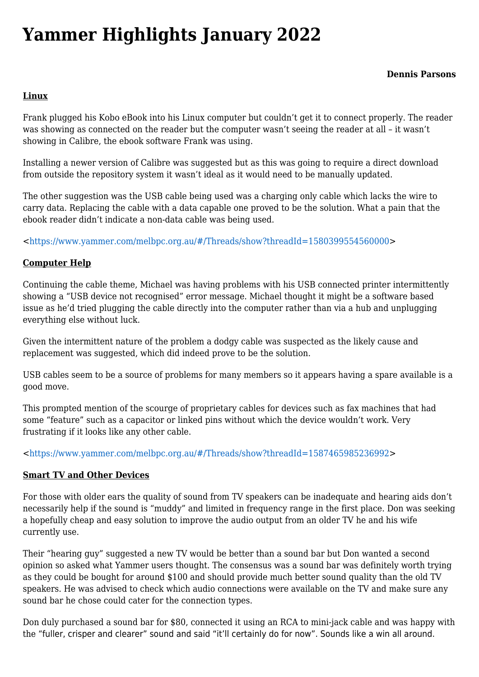# **[Yammer Highlights January 2022](https://www.melbpc.org.au/yammer-highlights-january-2022/)**

## **Linux**

Frank plugged his Kobo eBook into his Linux computer but couldn't get it to connect properly. The reader was showing as connected on the reader but the computer wasn't seeing the reader at all – it wasn't showing in Calibre, the ebook software Frank was using.

Installing a newer version of Calibre was suggested but as this was going to require a direct download from outside the repository system it wasn't ideal as it would need to be manually updated.

The other suggestion was the USB cable being used was a charging only cable which lacks the wire to carry data. Replacing the cable with a data capable one proved to be the solution. What a pain that the ebook reader didn't indicate a non-data cable was being used.

<<https://www.yammer.com/melbpc.org.au/#/Threads/show?threadId=1580399554560000>>

## **Computer Help**

Continuing the cable theme, Michael was having problems with his USB connected printer intermittently showing a "USB device not recognised" error message. Michael thought it might be a software based issue as he'd tried plugging the cable directly into the computer rather than via a hub and unplugging everything else without luck.

Given the intermittent nature of the problem a dodgy cable was suspected as the likely cause and replacement was suggested, which did indeed prove to be the solution.

USB cables seem to be a source of problems for many members so it appears having a spare available is a good move.

This prompted mention of the scourge of proprietary cables for devices such as fax machines that had some "feature" such as a capacitor or linked pins without which the device wouldn't work. Very frustrating if it looks like any other cable.

<<https://www.yammer.com/melbpc.org.au/#/Threads/show?threadId=1587465985236992>>

## **Smart TV and Other Devices**

For those with older ears the quality of sound from TV speakers can be inadequate and hearing aids don't necessarily help if the sound is "muddy" and limited in frequency range in the first place. Don was seeking a hopefully cheap and easy solution to improve the audio output from an older TV he and his wife currently use.

Their "hearing guy" suggested a new TV would be better than a sound bar but Don wanted a second opinion so asked what Yammer users thought. The consensus was a sound bar was definitely worth trying as they could be bought for around \$100 and should provide much better sound quality than the old TV speakers. He was advised to check which audio connections were available on the TV and make sure any sound bar he chose could cater for the connection types.

Don duly purchased a sound bar for \$80, connected it using an RCA to mini-jack cable and was happy with the "fuller, crisper and clearer" sound and said "it'll certainly do for now". Sounds like a win all around.